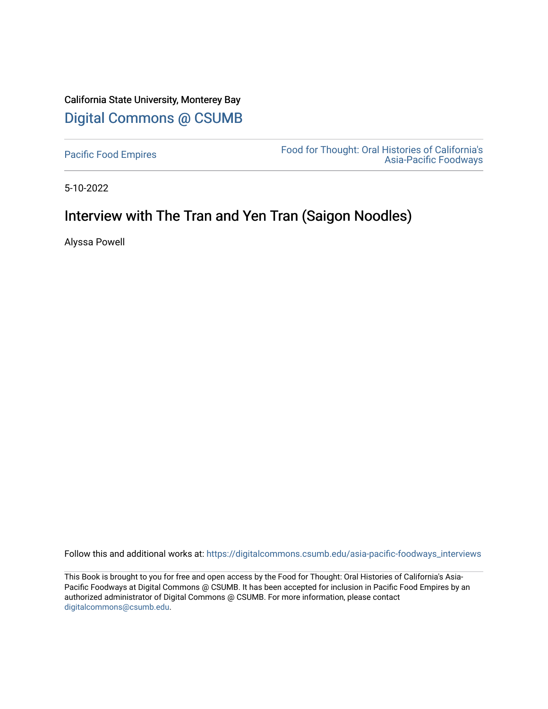# California State University, Monterey Bay [Digital Commons @ CSUMB](https://digitalcommons.csumb.edu/)

[Pacific Food Empires](https://digitalcommons.csumb.edu/asia-pacific-foodways_interviews) Food for Thought: Oral Histories of California's [Asia-Pacific Foodways](https://digitalcommons.csumb.edu/asia-pacific-foodways) 

5-10-2022

# Interview with The Tran and Yen Tran (Saigon Noodles)

Alyssa Powell

Follow this and additional works at: [https://digitalcommons.csumb.edu/asia-pacific-foodways\\_interviews](https://digitalcommons.csumb.edu/asia-pacific-foodways_interviews?utm_source=digitalcommons.csumb.edu%2Fasia-pacific-foodways_interviews%2F15&utm_medium=PDF&utm_campaign=PDFCoverPages) 

This Book is brought to you for free and open access by the Food for Thought: Oral Histories of California's Asia-Pacific Foodways at Digital Commons @ CSUMB. It has been accepted for inclusion in Pacific Food Empires by an authorized administrator of Digital Commons @ CSUMB. For more information, please contact [digitalcommons@csumb.edu](mailto:digitalcommons@csumb.edu).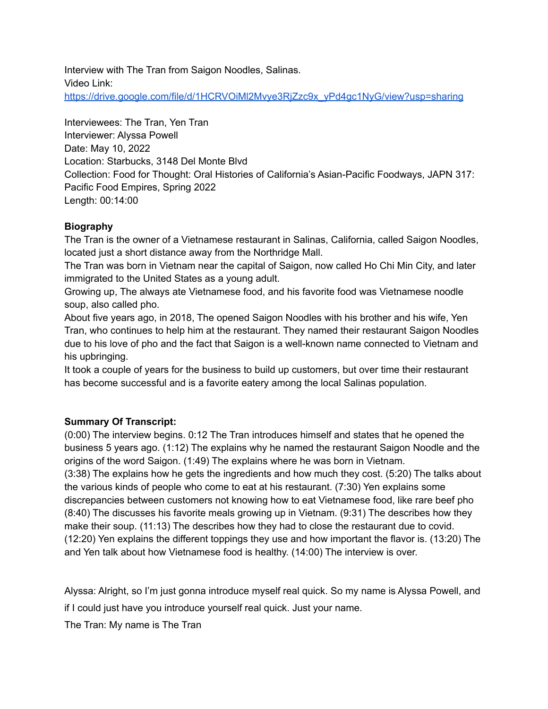Interview with The Tran from Saigon Noodles, Salinas. Video Link: [https://drive.google.com/file/d/1HCRVOiMl2Mvye3RjZzc9x\\_yPd4gc1NyG/view?usp=sharing](https://drive.google.com/file/d/1HCRVOiMl2Mvye3RjZzc9x_yPd4gc1NyG/view?usp=sharing)

Interviewees: The Tran, Yen Tran Interviewer: Alyssa Powell Date: May 10, 2022 Location: Starbucks, 3148 Del Monte Blvd Collection: Food for Thought: Oral Histories of California's Asian-Pacific Foodways, JAPN 317: Pacific Food Empires, Spring 2022 Length: 00:14:00

### **Biography**

The Tran is the owner of a Vietnamese restaurant in Salinas, California, called Saigon Noodles, located just a short distance away from the Northridge Mall.

The Tran was born in Vietnam near the capital of Saigon, now called Ho Chi Min City, and later immigrated to the United States as a young adult.

Growing up, The always ate Vietnamese food, and his favorite food was Vietnamese noodle soup, also called pho.

About five years ago, in 2018, The opened Saigon Noodles with his brother and his wife, Yen Tran, who continues to help him at the restaurant. They named their restaurant Saigon Noodles due to his love of pho and the fact that Saigon is a well-known name connected to Vietnam and his upbringing.

It took a couple of years for the business to build up customers, but over time their restaurant has become successful and is a favorite eatery among the local Salinas population.

### **Summary Of Transcript:**

(0:00) The interview begins. 0:12 The Tran introduces himself and states that he opened the business 5 years ago. (1:12) The explains why he named the restaurant Saigon Noodle and the origins of the word Saigon. (1:49) The explains where he was born in Vietnam.

(3:38) The explains how he gets the ingredients and how much they cost. (5:20) The talks about the various kinds of people who come to eat at his restaurant. (7:30) Yen explains some discrepancies between customers not knowing how to eat Vietnamese food, like rare beef pho (8:40) The discusses his favorite meals growing up in Vietnam. (9:31) The describes how they make their soup. (11:13) The describes how they had to close the restaurant due to covid. (12:20) Yen explains the different toppings they use and how important the flavor is. (13:20) The and Yen talk about how Vietnamese food is healthy. (14:00) The interview is over.

Alyssa: Alright, so I'm just gonna introduce myself real quick. So my name is Alyssa Powell, and if I could just have you introduce yourself real quick. Just your name.

The Tran: My name is The Tran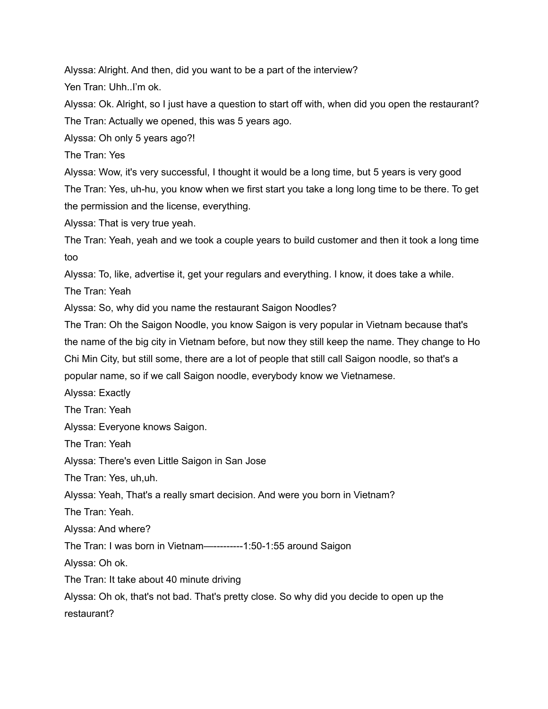Alyssa: Alright. And then, did you want to be a part of the interview?

Yen Tran: Uhh..I'm ok.

Alyssa: Ok. Alright, so I just have a question to start off with, when did you open the restaurant? The Tran: Actually we opened, this was 5 years ago.

Alyssa: Oh only 5 years ago?!

The Tran: Yes

Alyssa: Wow, it's very successful, I thought it would be a long time, but 5 years is very good The Tran: Yes, uh-hu, you know when we first start you take a long long time to be there. To get the permission and the license, everything.

Alyssa: That is very true yeah.

The Tran: Yeah, yeah and we took a couple years to build customer and then it took a long time too

Alyssa: To, like, advertise it, get your regulars and everything. I know, it does take a while.

The Tran: Yeah

Alyssa: So, why did you name the restaurant Saigon Noodles?

The Tran: Oh the Saigon Noodle, you know Saigon is very popular in Vietnam because that's the name of the big city in Vietnam before, but now they still keep the name. They change to Ho Chi Min City, but still some, there are a lot of people that still call Saigon noodle, so that's a popular name, so if we call Saigon noodle, everybody know we Vietnamese.

Alyssa: Exactly

The Tran: Yeah

Alyssa: Everyone knows Saigon.

The Tran: Yeah

Alyssa: There's even Little Saigon in San Jose

The Tran: Yes, uh,uh.

Alyssa: Yeah, That's a really smart decision. And were you born in Vietnam?

The Tran: Yeah.

Alyssa: And where?

The Tran: I was born in Vietnam—---------1:50-1:55 around Saigon

Alyssa: Oh ok.

The Tran: It take about 40 minute driving

Alyssa: Oh ok, that's not bad. That's pretty close. So why did you decide to open up the restaurant?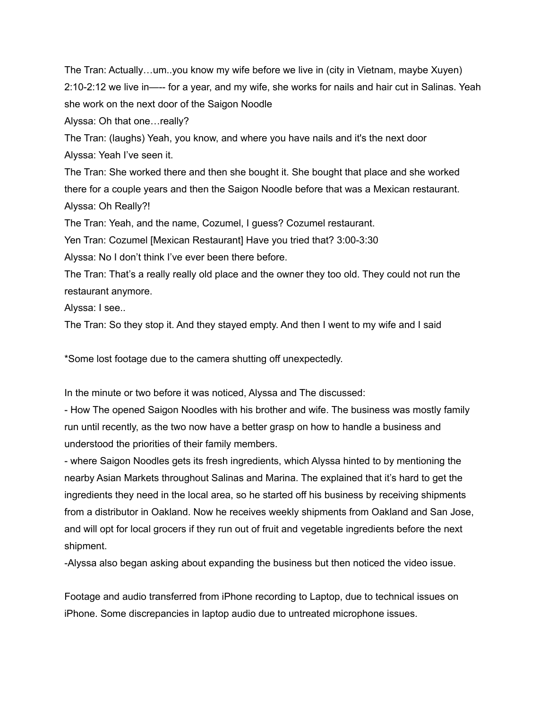The Tran: Actually…um..you know my wife before we live in (city in Vietnam, maybe Xuyen) 2:10-2:12 we live in—-- for a year, and my wife, she works for nails and hair cut in Salinas. Yeah she work on the next door of the Saigon Noodle

Alyssa: Oh that one…really?

The Tran: (laughs) Yeah, you know, and where you have nails and it's the next door Alyssa: Yeah I've seen it.

The Tran: She worked there and then she bought it. She bought that place and she worked there for a couple years and then the Saigon Noodle before that was a Mexican restaurant. Alyssa: Oh Really?!

The Tran: Yeah, and the name, Cozumel, I guess? Cozumel restaurant.

Yen Tran: Cozumel [Mexican Restaurant] Have you tried that? 3:00-3:30

Alyssa: No I don't think I've ever been there before.

The Tran: That's a really really old place and the owner they too old. They could not run the restaurant anymore.

Alyssa: I see..

The Tran: So they stop it. And they stayed empty. And then I went to my wife and I said

\*Some lost footage due to the camera shutting off unexpectedly.

In the minute or two before it was noticed, Alyssa and The discussed:

- How The opened Saigon Noodles with his brother and wife. The business was mostly family run until recently, as the two now have a better grasp on how to handle a business and understood the priorities of their family members.

- where Saigon Noodles gets its fresh ingredients, which Alyssa hinted to by mentioning the nearby Asian Markets throughout Salinas and Marina. The explained that it's hard to get the ingredients they need in the local area, so he started off his business by receiving shipments from a distributor in Oakland. Now he receives weekly shipments from Oakland and San Jose, and will opt for local grocers if they run out of fruit and vegetable ingredients before the next shipment.

-Alyssa also began asking about expanding the business but then noticed the video issue.

Footage and audio transferred from iPhone recording to Laptop, due to technical issues on iPhone. Some discrepancies in laptop audio due to untreated microphone issues.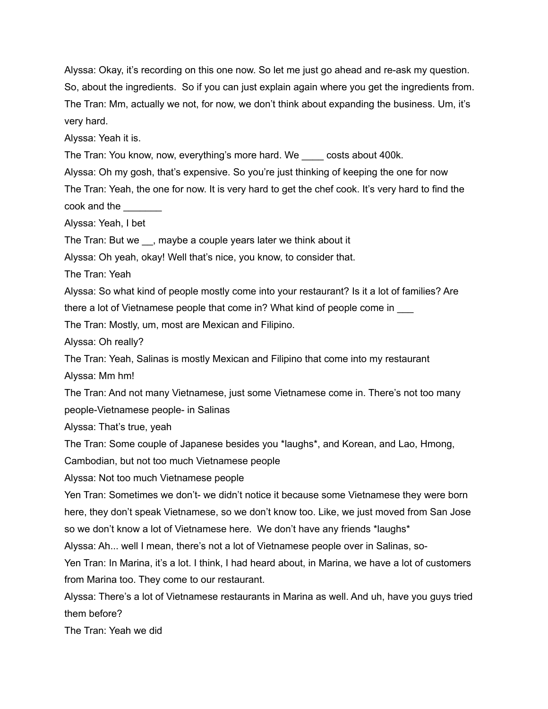Alyssa: Okay, it's recording on this one now. So let me just go ahead and re-ask my question. So, about the ingredients. So if you can just explain again where you get the ingredients from. The Tran: Mm, actually we not, for now, we don't think about expanding the business. Um, it's very hard.

Alyssa: Yeah it is.

The Tran: You know, now, everything's more hard. We \_\_\_\_ costs about 400k.

Alyssa: Oh my gosh, that's expensive. So you're just thinking of keeping the one for now The Tran: Yeah, the one for now. It is very hard to get the chef cook. It's very hard to find the cook and the

Alyssa: Yeah, I bet

The Tran: But we \_\_, maybe a couple years later we think about it

Alyssa: Oh yeah, okay! Well that's nice, you know, to consider that.

The Tran: Yeah

Alyssa: So what kind of people mostly come into your restaurant? Is it a lot of families? Are there a lot of Vietnamese people that come in? What kind of people come in \_\_\_

The Tran: Mostly, um, most are Mexican and Filipino.

Alyssa: Oh really?

The Tran: Yeah, Salinas is mostly Mexican and Filipino that come into my restaurant Alyssa: Mm hm!

The Tran: And not many Vietnamese, just some Vietnamese come in. There's not too many people-Vietnamese people- in Salinas

Alyssa: That's true, yeah

The Tran: Some couple of Japanese besides you \*laughs\*, and Korean, and Lao, Hmong,

Cambodian, but not too much Vietnamese people

Alyssa: Not too much Vietnamese people

Yen Tran: Sometimes we don't- we didn't notice it because some Vietnamese they were born here, they don't speak Vietnamese, so we don't know too. Like, we just moved from San Jose so we don't know a lot of Vietnamese here. We don't have any friends \*laughs\*

Alyssa: Ah... well I mean, there's not a lot of Vietnamese people over in Salinas, so-

Yen Tran: In Marina, it's a lot. I think, I had heard about, in Marina, we have a lot of customers from Marina too. They come to our restaurant.

Alyssa: There's a lot of Vietnamese restaurants in Marina as well. And uh, have you guys tried them before?

The Tran: Yeah we did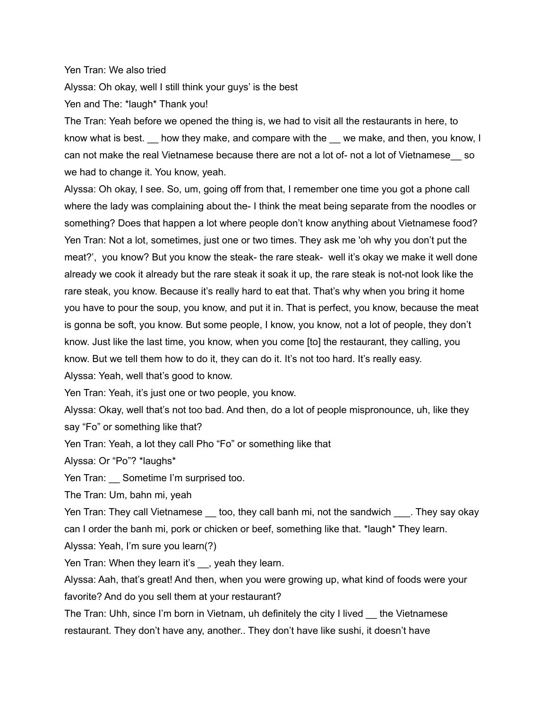#### Yen Tran: We also tried

Alyssa: Oh okay, well I still think your guys' is the best

Yen and The: \*laugh\* Thank you!

The Tran: Yeah before we opened the thing is, we had to visit all the restaurants in here, to know what is best. L how they make, and compare with the L we make, and then, you know, I can not make the real Vietnamese because there are not a lot of- not a lot of Vietnamese\_\_ so we had to change it. You know, yeah.

Alyssa: Oh okay, I see. So, um, going off from that, I remember one time you got a phone call where the lady was complaining about the- I think the meat being separate from the noodles or something? Does that happen a lot where people don't know anything about Vietnamese food? Yen Tran: Not a lot, sometimes, just one or two times. They ask me 'oh why you don't put the meat?', you know? But you know the steak- the rare steak- well it's okay we make it well done already we cook it already but the rare steak it soak it up, the rare steak is not-not look like the rare steak, you know. Because it's really hard to eat that. That's why when you bring it home you have to pour the soup, you know, and put it in. That is perfect, you know, because the meat is gonna be soft, you know. But some people, I know, you know, not a lot of people, they don't know. Just like the last time, you know, when you come [to] the restaurant, they calling, you know. But we tell them how to do it, they can do it. It's not too hard. It's really easy. Alyssa: Yeah, well that's good to know.

Yen Tran: Yeah, it's just one or two people, you know.

Alyssa: Okay, well that's not too bad. And then, do a lot of people mispronounce, uh, like they say "Fo" or something like that?

Yen Tran: Yeah, a lot they call Pho "Fo" or something like that

Alyssa: Or "Po"? \*laughs\*

Yen Tran: Sometime I'm surprised too.

The Tran: Um, bahn mi, yeah

Yen Tran: They call Vietnamese \_\_ too, they call banh mi, not the sandwich \_\_\_\_. They say okay can I order the banh mi, pork or chicken or beef, something like that. \*laugh\* They learn.

Alyssa: Yeah, I'm sure you learn(?)

Yen Tran: When they learn it's , yeah they learn.

Alyssa: Aah, that's great! And then, when you were growing up, what kind of foods were your favorite? And do you sell them at your restaurant?

The Tran: Uhh, since I'm born in Vietnam, uh definitely the city I lived the Vietnamese restaurant. They don't have any, another.. They don't have like sushi, it doesn't have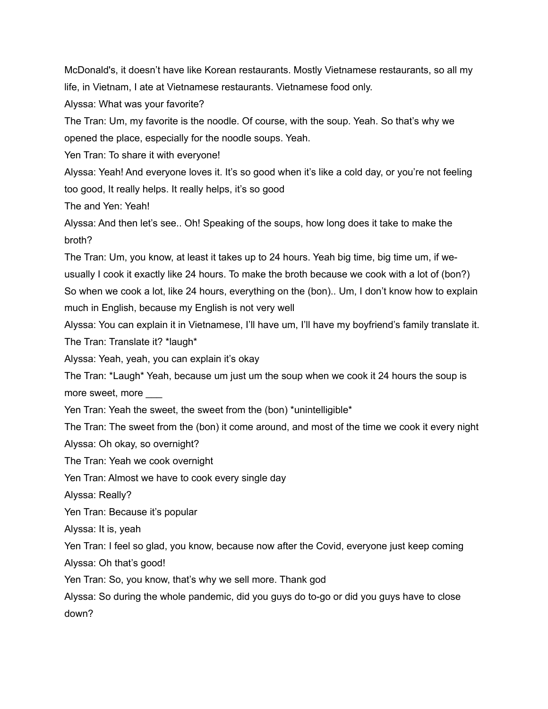McDonald's, it doesn't have like Korean restaurants. Mostly Vietnamese restaurants, so all my life, in Vietnam, I ate at Vietnamese restaurants. Vietnamese food only.

Alyssa: What was your favorite?

The Tran: Um, my favorite is the noodle. Of course, with the soup. Yeah. So that's why we opened the place, especially for the noodle soups. Yeah.

Yen Tran: To share it with everyone!

Alyssa: Yeah! And everyone loves it. It's so good when it's like a cold day, or you're not feeling too good, It really helps. It really helps, it's so good

The and Yen: Yeah!

Alyssa: And then let's see.. Oh! Speaking of the soups, how long does it take to make the broth?

The Tran: Um, you know, at least it takes up to 24 hours. Yeah big time, big time um, if weusually I cook it exactly like 24 hours. To make the broth because we cook with a lot of (bon?) So when we cook a lot, like 24 hours, everything on the (bon).. Um, I don't know how to explain much in English, because my English is not very well

Alyssa: You can explain it in Vietnamese, I'll have um, I'll have my boyfriend's family translate it.

The Tran: Translate it? \*laugh\*

Alyssa: Yeah, yeah, you can explain it's okay

The Tran: \*Laugh\* Yeah, because um just um the soup when we cook it 24 hours the soup is more sweet, more

Yen Tran: Yeah the sweet, the sweet from the (bon) \*unintelligible\*

The Tran: The sweet from the (bon) it come around, and most of the time we cook it every night Alyssa: Oh okay, so overnight?

The Tran: Yeah we cook overnight

Yen Tran: Almost we have to cook every single day

Alyssa: Really?

Yen Tran: Because it's popular

Alyssa: It is, yeah

Yen Tran: I feel so glad, you know, because now after the Covid, everyone just keep coming Alyssa: Oh that's good!

Yen Tran: So, you know, that's why we sell more. Thank god

Alyssa: So during the whole pandemic, did you guys do to-go or did you guys have to close down?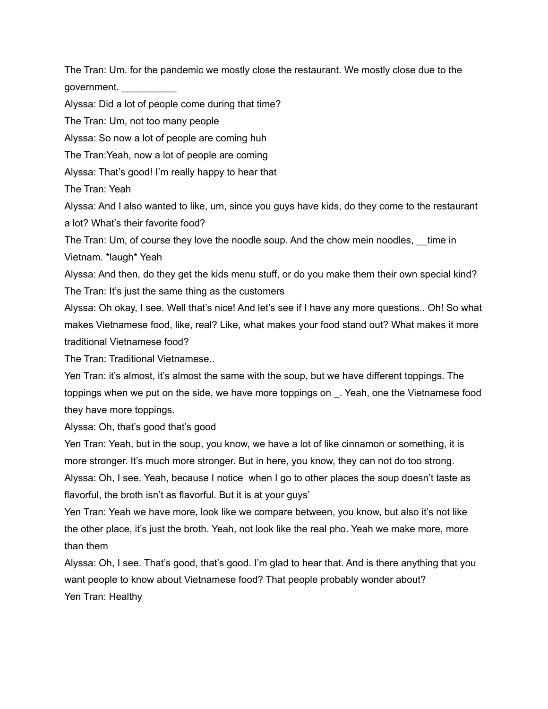The Tran: Um. for the pandemic we mostly close the restaurant. We mostly close due to the government. \_\_\_\_\_\_\_\_\_\_

Alyssa: Did a lot of people come during that time?

The Tran: Um, not too many people

Alyssa: So now a lot of people are coming huh

The Tran:Yeah, now a lot of people are coming

Alyssa: That's good! I'm really happy to hear that

The Tran: Yeah

Alyssa: And I also wanted to like, um, since you guys have kids, do they come to the restaurant a lot? What's their favorite food?

The Tran: Um, of course they love the noodle soup. And the chow mein noodles, \_\_time in Vietnam. \*laugh\* Yeah

Alyssa: And then, do they get the kids menu stuff, or do you make them their own special kind? The Tran: It's just the same thing as the customers

Alyssa: Oh okay, I see. Well that's nice! And let's see if I have any more questions.. Oh! So what makes Vietnamese food, like, real? Like, what makes your food stand out? What makes it more traditional Vietnamese food?

The Tran: Traditional Vietnamese..

Yen Tran: it's almost, it's almost the same with the soup, but we have different toppings. The toppings when we put on the side, we have more toppings on \_. Yeah, one the Vietnamese food they have more toppings.

Alyssa: Oh, that's good that's good

Yen Tran: Yeah, but in the soup, you know, we have a lot of like cinnamon or something, it is more stronger. It's much more stronger. But in here, you know, they can not do too strong. Alyssa: Oh, I see. Yeah, because I notice when I go to other places the soup doesn't taste as flavorful, the broth isn't as flavorful. But it is at your guys'

Yen Tran: Yeah we have more, look like we compare between, you know, but also it's not like the other place, it's just the broth. Yeah, not look like the real pho. Yeah we make more, more than them

Alyssa: Oh, I see. That's good, that's good. I'm glad to hear that. And is there anything that you want people to know about Vietnamese food? That people probably wonder about? Yen Tran: Healthy